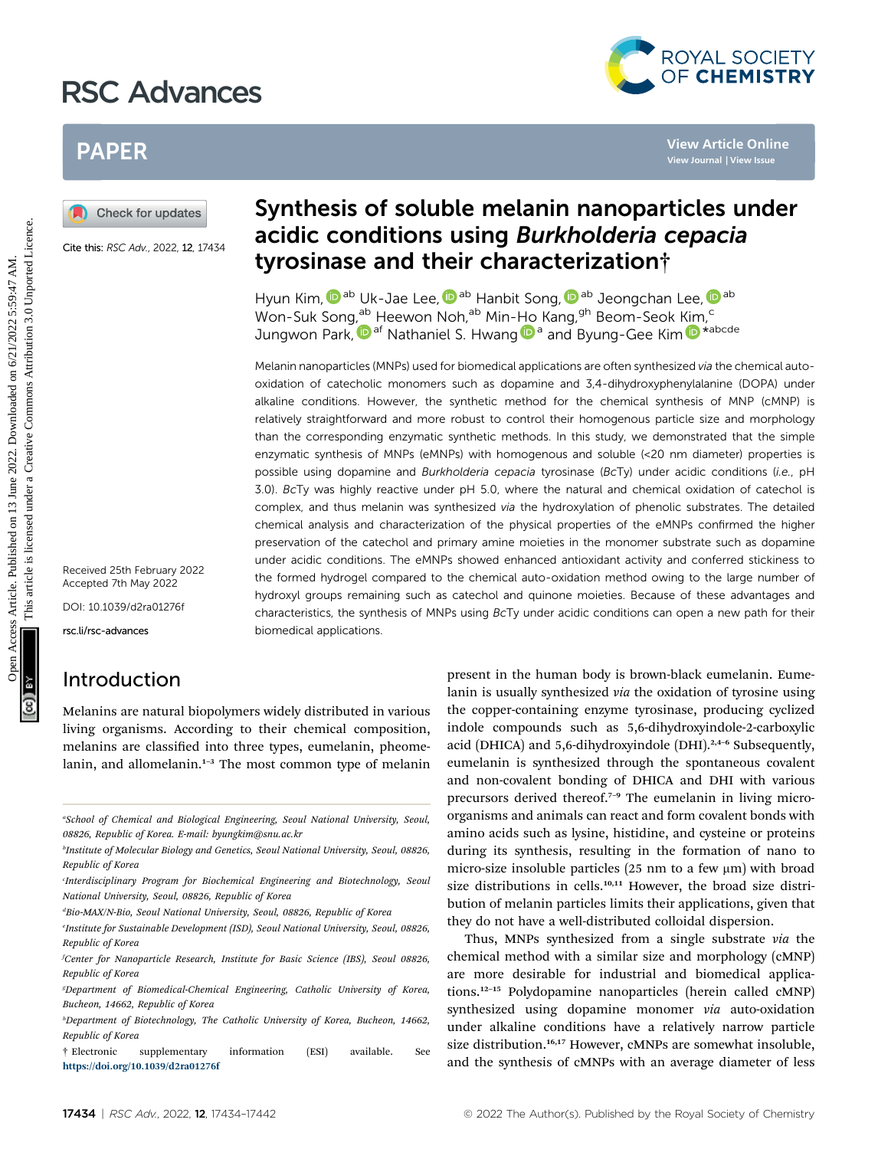# RSC Advances



# PAPER

Cite this: RSC Adv., 2022, 12, 17434

Received 25th February 2022 Accepted 7th May 2022

DOI: 10.1039/d2ra01276f

rsc.li/rsc-advances

## Introduction

Melanins are natural biopolymers widely distributed in various living organisms. According to their chemical composition, melanins are classified into three types, eumelanin, pheomelanin, and allomelanin.<sup>1-3</sup> The most common type of melanin

a School of Chemical and Biological Engineering, Seoul National University, Seoul, 08826, Republic of Korea. E-mail: byungkim@snu.ac.kr

# Synthesis of soluble melanin nanoparticles under acidic conditions using Burkholderia cepacia tyrosinase and their characterization†

Hyun Kim[,](http://orcid.org/0000-0002-8528-1897)  $\mathbf{\mathbb{D}}^{\text{ab}}$  Uk-Jae Lee,  $\mathbf{\mathbb{D}}^{\text{ab}}$  Hanbit Song,  $\mathbf{\mathbb{D}}^{\text{ab}}$  Jeongchan Lee,  $\mathbf{\mathbb{D}}^{\text{ab}}$ Won-Suk Song,<sup>ab</sup> Heewon Noh,<sup>ab</sup> Min-Ho Kang,<sup>gh</sup> Beom-Seok Kim,<sup>c</sup> Jungwon Park[,](http://orcid.org/0000-0003-2927-4331)  $\mathbf{D}^{af}$  $\mathbf{D}^{af}$  $\mathbf{D}^{af}$  Nathaniel S. Hwan[g](http://orcid.org/0000-0003-3735-7727)  $\mathbf{D}^{af}$  and Byung-Gee Kim  $\mathbf{D}^{*abcde}$ 

Melanin nanoparticles (MNPs) used for biomedical applications are often synthesized via the chemical autooxidation of catecholic monomers such as dopamine and 3,4-dihydroxyphenylalanine (DOPA) under alkaline conditions. However, the synthetic method for the chemical synthesis of MNP (cMNP) is relatively straightforward and more robust to control their homogenous particle size and morphology than the corresponding enzymatic synthetic methods. In this study, we demonstrated that the simple enzymatic synthesis of MNPs (eMNPs) with homogenous and soluble (<20 nm diameter) properties is possible using dopamine and Burkholderia cepacia tyrosinase (BcTy) under acidic conditions (i.e., pH 3.0). BcTy was highly reactive under pH 5.0, where the natural and chemical oxidation of catechol is complex, and thus melanin was synthesized via the hydroxylation of phenolic substrates. The detailed chemical analysis and characterization of the physical properties of the eMNPs confirmed the higher preservation of the catechol and primary amine moieties in the monomer substrate such as dopamine under acidic conditions. The eMNPs showed enhanced antioxidant activity and conferred stickiness to the formed hydrogel compared to the chemical auto-oxidation method owing to the large number of hydroxyl groups remaining such as catechol and quinone moieties. Because of these advantages and characteristics, the synthesis of MNPs using BcTy under acidic conditions can open a new path for their biomedical applications. **PAPER**<br> **(a)** Check for updates <br>
Synthesis of soluble melanin nanoparticles under<br>
acidic conditions using *Burkholderia cepacia*<br>
See the *nsc kn. 2022* 22 2444<br>
Worm Kim, <sup>0</sup><sup>26</sup> Uk-Jae Lee, <sup>0</sup><sup>26</sup> Hanbit Song <sup>0</sup><sup>26</sup>

present in the human body is brown-black eumelanin. Eumelanin is usually synthesized via the oxidation of tyrosine using the copper-containing enzyme tyrosinase, producing cyclized indole compounds such as 5,6-dihydroxyindole-2-carboxylic acid (DHICA) and 5,6-dihydroxyindole (DHI).<sup>2,4-6</sup> Subsequently, eumelanin is synthesized through the spontaneous covalent and non-covalent bonding of DHICA and DHI with various precursors derived thereof.<sup>7-9</sup> The eumelanin in living microorganisms and animals can react and form covalent bonds with amino acids such as lysine, histidine, and cysteine or proteins during its synthesis, resulting in the formation of nano to micro-size insoluble particles (25 nm to a few  $\mu$ m) with broad size distributions in cells.<sup>10,11</sup> However, the broad size distribution of melanin particles limits their applications, given that they do not have a well-distributed colloidal dispersion.

Thus, MNPs synthesized from a single substrate via the chemical method with a similar size and morphology (cMNP) are more desirable for industrial and biomedical applications.<sup>12</sup>–<sup>15</sup> Polydopamine nanoparticles (herein called cMNP) synthesized using dopamine monomer via auto-oxidation under alkaline conditions have a relatively narrow particle size distribution.<sup>16,17</sup> However, cMNPs are somewhat insoluble, and the synthesis of cMNPs with an average diameter of less

<sup>&</sup>lt;sup>b</sup>Institute of Molecular Biology and Genetics, Seoul National University, Seoul, 08826, Republic of Korea

Interdisciplinary Program for Biochemical Engineering and Biotechnology, Seoul National University, Seoul, 08826, Republic of Korea

dBio-MAX/N-Bio, Seoul National University, Seoul, 08826, Republic of Korea

e Institute for Sustainable Development (ISD), Seoul National University, Seoul, 08826, Republic of Korea

f Center for Nanoparticle Research, Institute for Basic Science (IBS), Seoul 08826, Republic of Korea

g Department of Biomedical-Chemical Engineering, Catholic University of Korea, Bucheon, 14662, Republic of Korea

<sup>&</sup>lt;sup>h</sup>Department of Biotechnology, The Catholic University of Korea, Bucheon, 14662, Republic of Korea

<sup>†</sup> Electronic supplementary information (ESI) available. See <https://doi.org/10.1039/d2ra01276f>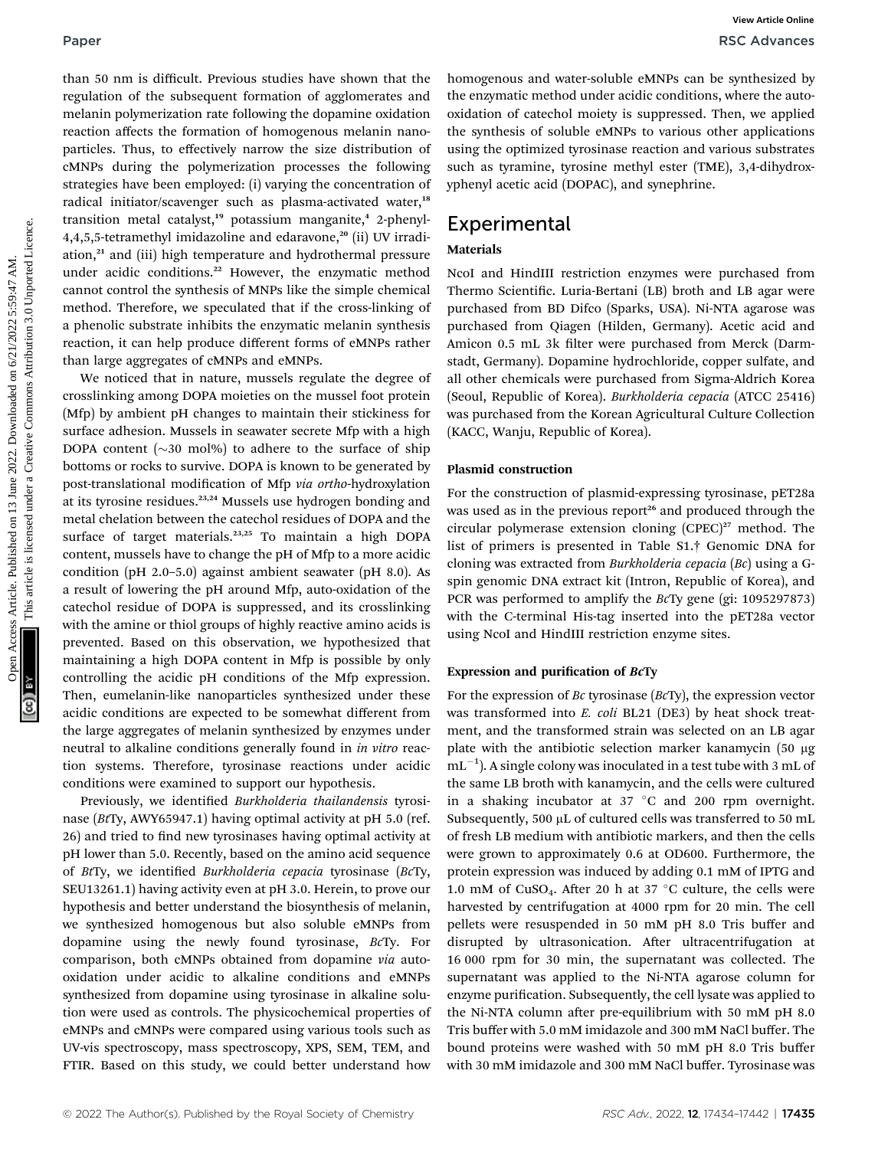than 50 nm is difficult. Previous studies have shown that the regulation of the subsequent formation of agglomerates and melanin polymerization rate following the dopamine oxidation reaction affects the formation of homogenous melanin nanoparticles. Thus, to effectively narrow the size distribution of cMNPs during the polymerization processes the following strategies have been employed: (i) varying the concentration of radical initiator/scavenger such as plasma-activated water,<sup>18</sup> transition metal catalyst,<sup>19</sup> potassium manganite,<sup>4</sup> 2-phenyl- $4,4,5,5$ -tetramethyl imidazoline and edaravone,<sup>20</sup> (ii) UV irradiation,<sup>21</sup> and (iii) high temperature and hydrothermal pressure under acidic conditions.<sup>22</sup> However, the enzymatic method cannot control the synthesis of MNPs like the simple chemical method. Therefore, we speculated that if the cross-linking of a phenolic substrate inhibits the enzymatic melanin synthesis reaction, it can help produce different forms of eMNPs rather than large aggregates of cMNPs and eMNPs.

We noticed that in nature, mussels regulate the degree of crosslinking among DOPA moieties on the mussel foot protein (Mfp) by ambient pH changes to maintain their stickiness for surface adhesion. Mussels in seawater secrete Mfp with a high DOPA content  $(\sim]30 \text{ mol}$ %) to adhere to the surface of ship bottoms or rocks to survive. DOPA is known to be generated by post-translational modification of Mfp via ortho-hydroxylation at its tyrosine residues.23,24 Mussels use hydrogen bonding and metal chelation between the catechol residues of DOPA and the surface of target materials.<sup>23,25</sup> To maintain a high DOPA content, mussels have to change the pH of Mfp to a more acidic condition (pH 2.0–5.0) against ambient seawater (pH 8.0). As a result of lowering the pH around Mfp, auto-oxidation of the catechol residue of DOPA is suppressed, and its crosslinking with the amine or thiol groups of highly reactive amino acids is prevented. Based on this observation, we hypothesized that maintaining a high DOPA content in Mfp is possible by only controlling the acidic pH conditions of the Mfp expression. Then, eumelanin-like nanoparticles synthesized under these acidic conditions are expected to be somewhat different from the large aggregates of melanin synthesized by enzymes under neutral to alkaline conditions generally found in in vitro reaction systems. Therefore, tyrosinase reactions under acidic conditions were examined to support our hypothesis. **Paper**<br> **Pack diverse Conserver Constraine Insert diverse are the computer constrained on the conserver Conserver Conserver Conserver Conserver Conserver Conserver Conserver Conserver Conserver Conserver Conserver Conserv** 

Previously, we identified Burkholderia thailandensis tyrosinase (BtTy, AWY65947.1) having optimal activity at pH 5.0 (ref. 26) and tried to find new tyrosinases having optimal activity at pH lower than 5.0. Recently, based on the amino acid sequence of BtTy, we identified Burkholderia cepacia tyrosinase (BcTy, SEU13261.1) having activity even at pH 3.0. Herein, to prove our hypothesis and better understand the biosynthesis of melanin, we synthesized homogenous but also soluble eMNPs from dopamine using the newly found tyrosinase, BcTy. For comparison, both cMNPs obtained from dopamine via autooxidation under acidic to alkaline conditions and eMNPs synthesized from dopamine using tyrosinase in alkaline solution were used as controls. The physicochemical properties of eMNPs and cMNPs were compared using various tools such as UV-vis spectroscopy, mass spectroscopy, XPS, SEM, TEM, and FTIR. Based on this study, we could better understand how

homogenous and water-soluble eMNPs can be synthesized by the enzymatic method under acidic conditions, where the autooxidation of catechol moiety is suppressed. Then, we applied the synthesis of soluble eMNPs to various other applications using the optimized tyrosinase reaction and various substrates such as tyramine, tyrosine methyl ester (TME), 3,4-dihydroxyphenyl acetic acid (DOPAC), and synephrine.

# **Experimental**

### Materials

NcoI and HindIII restriction enzymes were purchased from Thermo Scientific. Luria-Bertani (LB) broth and LB agar were purchased from BD Difco (Sparks, USA). Ni-NTA agarose was purchased from Qiagen (Hilden, Germany). Acetic acid and Amicon 0.5 mL 3k filter were purchased from Merck (Darmstadt, Germany). Dopamine hydrochloride, copper sulfate, and all other chemicals were purchased from Sigma-Aldrich Korea (Seoul, Republic of Korea). Burkholderia cepacia (ATCC 25416) was purchased from the Korean Agricultural Culture Collection (KACC, Wanju, Republic of Korea).

### Plasmid construction

For the construction of plasmid-expressing tyrosinase, pET28a was used as in the previous report<sup>26</sup> and produced through the circular polymerase extension cloning  $(CPEC)^{27}$  method. The list of primers is presented in Table S1.† Genomic DNA for cloning was extracted from Burkholderia cepacia (Bc) using a Gspin genomic DNA extract kit (Intron, Republic of Korea), and PCR was performed to amplify the BcTy gene (gi: 1095297873) with the C-terminal His-tag inserted into the pET28a vector using NcoI and HindIII restriction enzyme sites.

### Expression and purification of BcTy

For the expression of Bc tyrosinase (BcTy), the expression vector was transformed into E. coli BL21 (DE3) by heat shock treatment, and the transformed strain was selected on an LB agar plate with the antibiotic selection marker kanamycin (50 µg  $mL^{-1}$ ). A single colony was inoculated in a test tube with 3 mL of the same LB broth with kanamycin, and the cells were cultured in a shaking incubator at  $37 °C$  and  $200$  rpm overnight. Subsequently, 500  $\mu$ L of cultured cells was transferred to 50 mL of fresh LB medium with antibiotic markers, and then the cells were grown to approximately 0.6 at OD600. Furthermore, the protein expression was induced by adding 0.1 mM of IPTG and 1.0 mM of CuSO<sub>4</sub>. After 20 h at 37 °C culture, the cells were harvested by centrifugation at 4000 rpm for 20 min. The cell pellets were resuspended in 50 mM pH 8.0 Tris buffer and disrupted by ultrasonication. After ultracentrifugation at 16 000 rpm for 30 min, the supernatant was collected. The supernatant was applied to the Ni-NTA agarose column for enzyme purification. Subsequently, the cell lysate was applied to the Ni-NTA column after pre-equilibrium with 50 mM pH 8.0 Tris buffer with 5.0 mM imidazole and 300 mM NaCl buffer. The bound proteins were washed with 50 mM pH 8.0 Tris buffer with 30 mM imidazole and 300 mM NaCl buffer. Tyrosinase was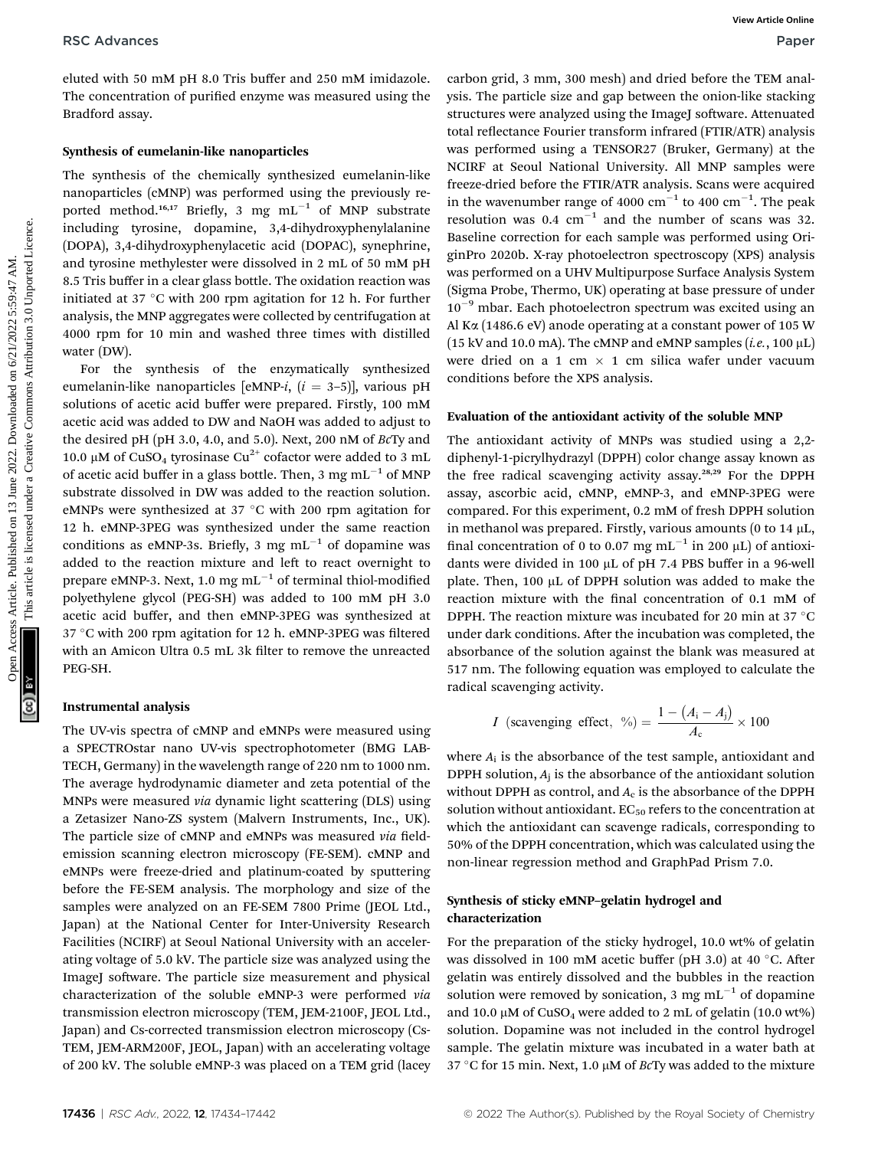eluted with 50 mM pH 8.0 Tris buffer and 250 mM imidazole. The concentration of purified enzyme was measured using the Bradford assay.

### Synthesis of eumelanin-like nanoparticles

The synthesis of the chemically synthesized eumelanin-like nanoparticles (cMNP) was performed using the previously reported method.<sup>16,17</sup> Briefly, 3 mg  $mL^{-1}$  of MNP substrate including tyrosine, dopamine, 3,4-dihydroxyphenylalanine (DOPA), 3,4-dihydroxyphenylacetic acid (DOPAC), synephrine, and tyrosine methylester were dissolved in 2 mL of 50 mM pH 8.5 Tris buffer in a clear glass bottle. The oxidation reaction was initiated at 37  $\degree$ C with 200 rpm agitation for 12 h. For further analysis, the MNP aggregates were collected by centrifugation at 4000 rpm for 10 min and washed three times with distilled water (DW).

For the synthesis of the enzymatically synthesized eumelanin-like nanoparticles [eMNP-i,  $(i = 3-5)$ ], various pH solutions of acetic acid buffer were prepared. Firstly, 100 mM acetic acid was added to DW and NaOH was added to adjust to the desired pH (pH 3.0, 4.0, and 5.0). Next, 200 nM of BcTy and 10.0 µM of CuSO<sub>4</sub> tyrosinase Cu<sup>2+</sup> cofactor were added to 3 mL of acetic acid buffer in a glass bottle. Then, 3 mg  $mL^{-1}$  of MNP substrate dissolved in DW was added to the reaction solution. eMNPs were synthesized at 37 °C with 200 rpm agitation for 12 h. eMNP-3PEG was synthesized under the same reaction conditions as eMNP-3s. Briefly, 3 mg  $mL^{-1}$  of dopamine was added to the reaction mixture and left to react overnight to prepare eMNP-3. Next, 1.0 mg  $mL^{-1}$  of terminal thiol-modified polyethylene glycol (PEG-SH) was added to 100 mM pH 3.0 acetic acid buffer, and then eMNP-3PEG was synthesized at 37 °C with 200 rpm agitation for 12 h. eMNP-3PEG was filtered with an Amicon Ultra 0.5 mL 3k filter to remove the unreacted PEG-SH. RSC Advances<br>
The concernstrict of the first and 250 mM imilazole. enthough the state are and gap between the rest and<br>
The concernstration of puttiled enzyme was measured using the state for the state for the common infe

### Instrumental analysis

The UV-vis spectra of cMNP and eMNPs were measured using a SPECTROstar nano UV-vis spectrophotometer (BMG LAB-TECH, Germany) in the wavelength range of 220 nm to 1000 nm. The average hydrodynamic diameter and zeta potential of the MNPs were measured via dynamic light scattering (DLS) using a Zetasizer Nano-ZS system (Malvern Instruments, Inc., UK). The particle size of cMNP and eMNPs was measured via fieldemission scanning electron microscopy (FE-SEM). cMNP and eMNPs were freeze-dried and platinum-coated by sputtering before the FE-SEM analysis. The morphology and size of the samples were analyzed on an FE-SEM 7800 Prime (JEOL Ltd., Japan) at the National Center for Inter-University Research Facilities (NCIRF) at Seoul National University with an accelerating voltage of 5.0 kV. The particle size was analyzed using the ImageJ software. The particle size measurement and physical characterization of the soluble eMNP-3 were performed via transmission electron microscopy (TEM, JEM-2100F, JEOL Ltd., Japan) and Cs-corrected transmission electron microscopy (Cs-TEM, JEM-ARM200F, JEOL, Japan) with an accelerating voltage of 200 kV. The soluble eMNP-3 was placed on a TEM grid (lacey

carbon grid, 3 mm, 300 mesh) and dried before the TEM analysis. The particle size and gap between the onion-like stacking structures were analyzed using the ImageJ software. Attenuated total reflectance Fourier transform infrared (FTIR/ATR) analysis was performed using a TENSOR27 (Bruker, Germany) at the NCIRF at Seoul National University. All MNP samples were freeze-dried before the FTIR/ATR analysis. Scans were acquired in the wavenumber range of 4000  $\text{cm}^{-1}$  to 400  $\text{cm}^{-1}$ . The peak resolution was  $0.4 \text{ cm}^{-1}$  and the number of scans was 32. Baseline correction for each sample was performed using OriginPro 2020b. X-ray photoelectron spectroscopy (XPS) analysis was performed on a UHV Multipurpose Surface Analysis System (Sigma Probe, Thermo, UK) operating at base pressure of under  $10^{-9}$  mbar. Each photoelectron spectrum was excited using an Al Ka (1486.6 eV) anode operating at a constant power of 105 W (15 kV and 10.0 mA). The cMNP and eMNP samples (*i.e.*, 100  $\mu$ L) were dried on a 1 cm  $\times$  1 cm silica wafer under vacuum conditions before the XPS analysis.

### Evaluation of the antioxidant activity of the soluble MNP

The antioxidant activity of MNPs was studied using a 2,2 diphenyl-1-picrylhydrazyl (DPPH) color change assay known as the free radical scavenging activity assay.<sup>28,29</sup> For the DPPH assay, ascorbic acid, cMNP, eMNP-3, and eMNP-3PEG were compared. For this experiment, 0.2 mM of fresh DPPH solution in methanol was prepared. Firstly, various amounts (0 to 14  $\mu$ L, final concentration of 0 to 0.07 mg  $mL^{-1}$  in 200  $\mu$ L) of antioxidants were divided in 100  $\mu$ L of pH 7.4 PBS buffer in a 96-well plate. Then,  $100 \mu L$  of DPPH solution was added to make the reaction mixture with the final concentration of 0.1 mM of DPPH. The reaction mixture was incubated for 20 min at 37  $\mathrm{^{\circ}C}$ under dark conditions. After the incubation was completed, the absorbance of the solution against the blank was measured at 517 nm. The following equation was employed to calculate the radical scavenging activity.

*I* (scavenging effect, %) = 
$$
\frac{1 - (A_i - A_j)}{A_c} \times 100
$$

where  $A_i$  is the absorbance of the test sample, antioxidant and DPPH solution,  $A_i$  is the absorbance of the antioxidant solution without DPPH as control, and  $A_c$  is the absorbance of the DPPH solution without antioxidant.  $EC_{50}$  refers to the concentration at which the antioxidant can scavenge radicals, corresponding to 50% of the DPPH concentration, which was calculated using the non-linear regression method and GraphPad Prism 7.0.

### Synthesis of sticky eMNP–gelatin hydrogel and characterization

For the preparation of the sticky hydrogel, 10.0 wt% of gelatin was dissolved in 100 mM acetic buffer (pH 3.0) at 40  $^{\circ}$ C. After gelatin was entirely dissolved and the bubbles in the reaction solution were removed by sonication, 3 mg  $mL^{-1}$  of dopamine and 10.0  $\mu$ M of CuSO<sub>4</sub> were added to 2 mL of gelatin (10.0 wt%) solution. Dopamine was not included in the control hydrogel sample. The gelatin mixture was incubated in a water bath at 37 °C for 15 min. Next, 1.0  $\mu$ M of *Bc*Ty was added to the mixture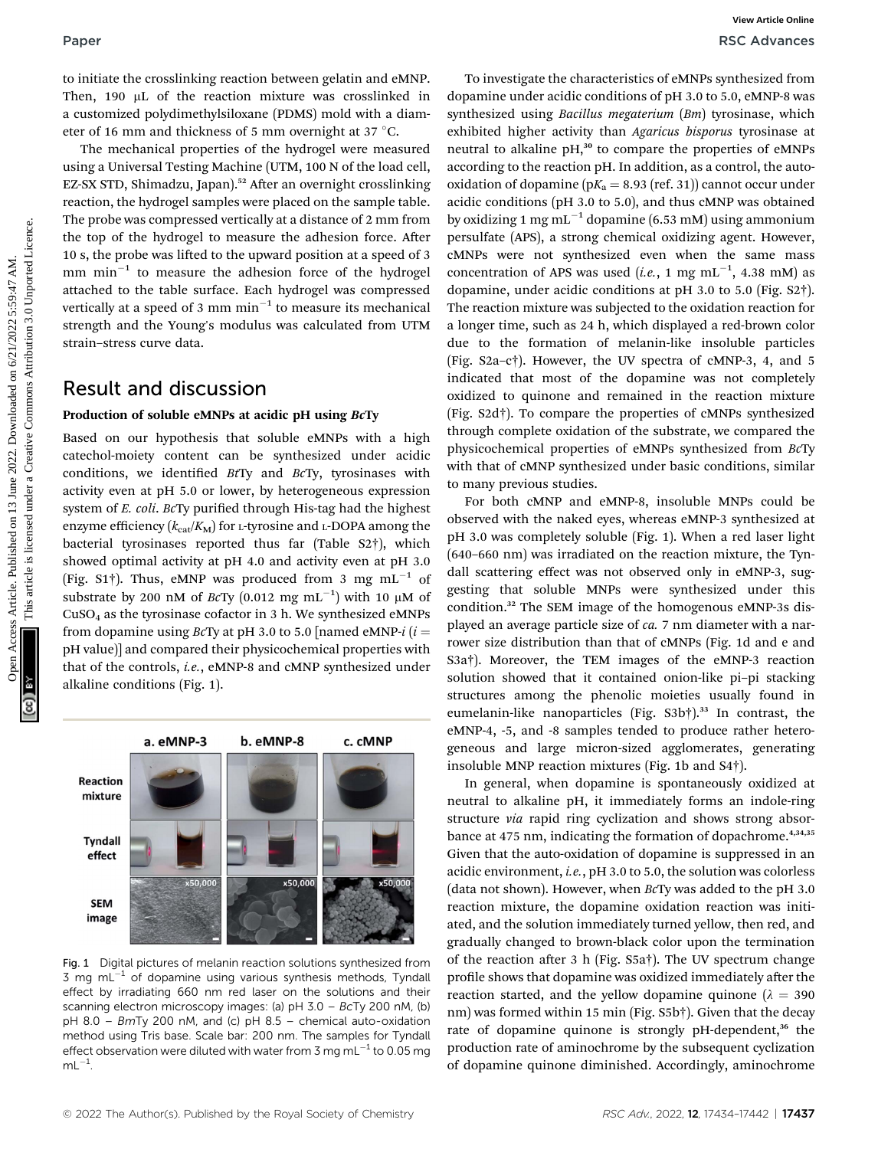to initiate the crosslinking reaction between gelatin and eMNP. Then, 190 µL of the reaction mixture was crosslinked in a customized polydimethylsiloxane (PDMS) mold with a diameter of 16 mm and thickness of 5 mm overnight at 37 °C.

The mechanical properties of the hydrogel were measured using a Universal Testing Machine (UTM, 100 N of the load cell, EZ-SX STD, Shimadzu, Japan).<sup>52</sup> After an overnight crosslinking reaction, the hydrogel samples were placed on the sample table. The probe was compressed vertically at a distance of 2 mm from the top of the hydrogel to measure the adhesion force. After 10 s, the probe was lifted to the upward position at a speed of 3 mm  $min^{-1}$  to measure the adhesion force of the hydrogel attached to the table surface. Each hydrogel was compressed vertically at a speed of 3 mm  $min^{-1}$  to measure its mechanical strength and the Young's modulus was calculated from UTM strain–stress curve data.

## Result and discussion

### Production of soluble eMNPs at acidic pH using BcTy

Based on our hypothesis that soluble eMNPs with a high catechol-moiety content can be synthesized under acidic conditions, we identified  $BtTy$  and  $BcTy$ , tyrosinases with activity even at pH 5.0 or lower, by heterogeneous expression system of E. coli. BcTy purified through His-tag had the highest enzyme efficiency  $(k_{cat}/K_M)$  for L-tyrosine and L-DOPA among the bacterial tyrosinases reported thus far (Table S2†), which showed optimal activity at pH 4.0 and activity even at pH 3.0 (Fig. S1†). Thus, eMNP was produced from 3 mg  $mL^{-1}$  of substrate by 200 nM of BcTy (0.012 mg  $\text{mL}^{-1}$ ) with 10 µM of  $CuSO<sub>4</sub>$  as the tyrosinase cofactor in 3 h. We synthesized eMNPs from dopamine using BcTy at pH 3.0 to 5.0 [named eMNP-i ( $i =$ pH value)] and compared their physicochemical properties with that of the controls, i.e., eMNP-8 and cMNP synthesized under alkaline conditions (Fig. 1).



Fig. 1 Digital pictures of melanin reaction solutions synthesized from 3 mg  $mL^{-1}$  of dopamine using various synthesis methods, Tyndall effect by irradiating 660 nm red laser on the solutions and their scanning electron microscopy images: (a) pH 3.0 – BcTy 200 nM, (b) pH 8.0 – BmTy 200 nM, and (c) pH 8.5 – chemical auto-oxidation method using Tris base. Scale bar: 200 nm. The samples for Tyndall effect observation were diluted with water from 3 mg mL $^{-1}$  to 0.05 mg  $mL^{-1}$ .

To investigate the characteristics of eMNPs synthesized from dopamine under acidic conditions of pH 3.0 to 5.0, eMNP-8 was synthesized using Bacillus megaterium (Bm) tyrosinase, which exhibited higher activity than Agaricus bisporus tyrosinase at neutral to alkaline pH,<sup>30</sup> to compare the properties of eMNPs according to the reaction pH. In addition, as a control, the autooxidation of dopamine ( $pK_a = 8.93$  (ref. 31)) cannot occur under acidic conditions (pH 3.0 to 5.0), and thus cMNP was obtained by oxidizing 1 mg mL<sup>-1</sup> dopamine (6.53 mM) using ammonium persulfate (APS), a strong chemical oxidizing agent. However, cMNPs were not synthesized even when the same mass concentration of APS was used (*i.e.*, 1 mg mL<sup>-1</sup>, 4.38 mM) as dopamine, under acidic conditions at pH 3.0 to 5.0 (Fig. S2†). The reaction mixture was subjected to the oxidation reaction for a longer time, such as 24 h, which displayed a red-brown color due to the formation of melanin-like insoluble particles (Fig. S2a–c†). However, the UV spectra of cMNP-3, 4, and 5 indicated that most of the dopamine was not completely oxidized to quinone and remained in the reaction mixture (Fig. S2d†). To compare the properties of cMNPs synthesized through complete oxidation of the substrate, we compared the physicochemical properties of eMNPs synthesized from BcTy with that of cMNP synthesized under basic conditions, similar to many previous studies. Paper<br>
In initiate the constitution between gelatin and eMP. To investigate the characteristics of eMYPs synthesized form<br>
Theorem Town of the reasten mixing the commons considered in the commons are considered to the com

For both cMNP and eMNP-8, insoluble MNPs could be observed with the naked eyes, whereas eMNP-3 synthesized at pH 3.0 was completely soluble (Fig. 1). When a red laser light (640–660 nm) was irradiated on the reaction mixture, the Tyndall scattering effect was not observed only in eMNP-3, suggesting that soluble MNPs were synthesized under this condition.<sup>32</sup> The SEM image of the homogenous eMNP-3s displayed an average particle size of ca. 7 nm diameter with a narrower size distribution than that of cMNPs (Fig. 1d and e and S3a†). Moreover, the TEM images of the eMNP-3 reaction solution showed that it contained onion-like pi–pi stacking structures among the phenolic moieties usually found in eumelanin-like nanoparticles (Fig. S3b†).<sup>33</sup> In contrast, the eMNP-4, -5, and -8 samples tended to produce rather heterogeneous and large micron-sized agglomerates, generating insoluble MNP reaction mixtures (Fig. 1b and S4†).

In general, when dopamine is spontaneously oxidized at neutral to alkaline pH, it immediately forms an indole-ring structure via rapid ring cyclization and shows strong absorbance at 475 nm, indicating the formation of dopachrome.<sup>4,34,35</sup> Given that the auto-oxidation of dopamine is suppressed in an acidic environment, i.e., pH 3.0 to 5.0, the solution was colorless (data not shown). However, when BcTy was added to the pH 3.0 reaction mixture, the dopamine oxidation reaction was initiated, and the solution immediately turned yellow, then red, and gradually changed to brown-black color upon the termination of the reaction after 3 h (Fig.  $S5a\dagger$ ). The UV spectrum change profile shows that dopamine was oxidized immediately after the reaction started, and the yellow dopamine quinone ( $\lambda = 390$ nm) was formed within 15 min (Fig. S5b†). Given that the decay rate of dopamine quinone is strongly pH-dependent,<sup>36</sup> the production rate of aminochrome by the subsequent cyclization of dopamine quinone diminished. Accordingly, aminochrome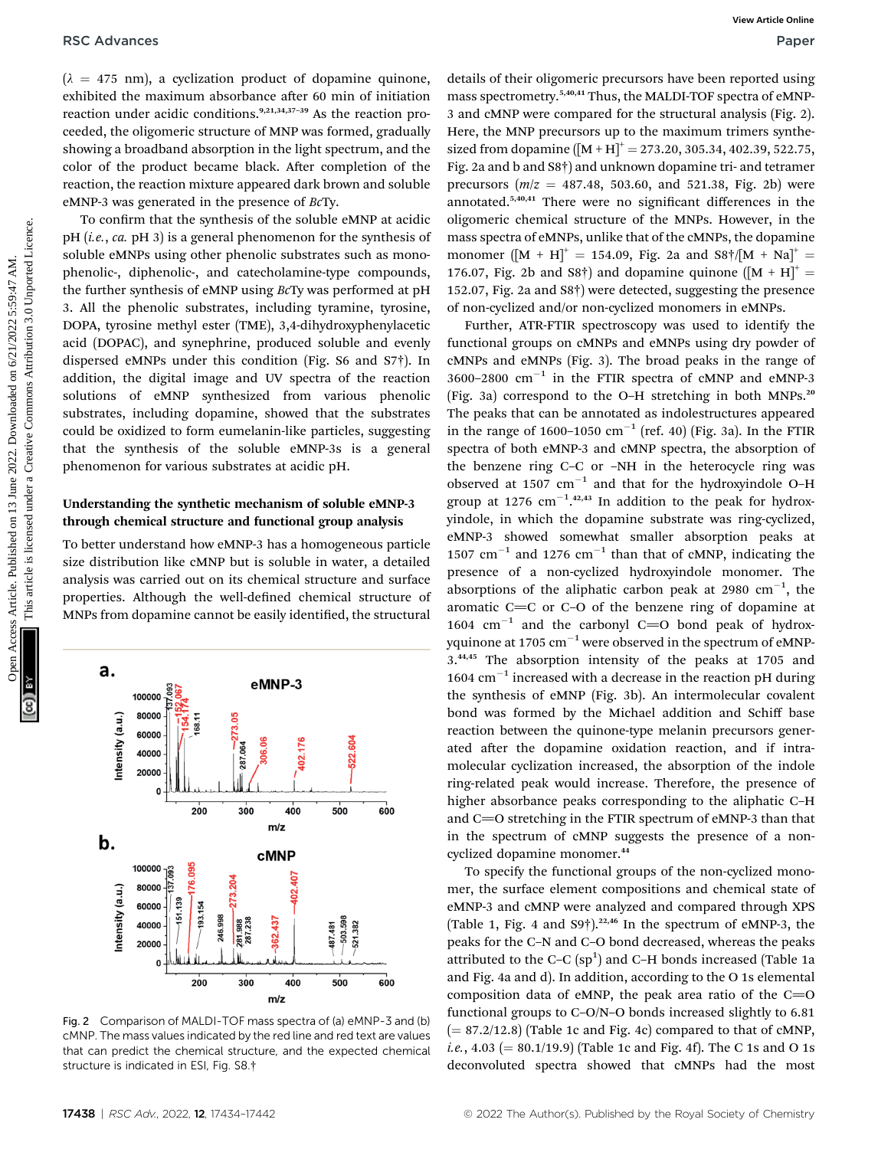$(\lambda = 475 \text{ nm})$ , a cyclization product of dopamine quinone, exhibited the maximum absorbance after 60 min of initiation reaction under acidic conditions.9,21,34,37–<sup>39</sup> As the reaction proceeded, the oligomeric structure of MNP was formed, gradually showing a broadband absorption in the light spectrum, and the color of the product became black. After completion of the reaction, the reaction mixture appeared dark brown and soluble eMNP-3 was generated in the presence of BcTy.

To confirm that the synthesis of the soluble eMNP at acidic  $pH$  (*i.e.*, *ca.*  $pH$  3) is a general phenomenon for the synthesis of soluble eMNPs using other phenolic substrates such as monophenolic-, diphenolic-, and catecholamine-type compounds, the further synthesis of eMNP using BcTy was performed at pH 3. All the phenolic substrates, including tyramine, tyrosine, DOPA, tyrosine methyl ester (TME), 3,4-dihydroxyphenylacetic acid (DOPAC), and synephrine, produced soluble and evenly dispersed eMNPs under this condition (Fig. S6 and S7†). In addition, the digital image and UV spectra of the reaction solutions of eMNP synthesized from various phenolic substrates, including dopamine, showed that the substrates could be oxidized to form eumelanin-like particles, suggesting that the synthesis of the soluble eMNP-3s is a general phenomenon for various substrates at acidic pH.

### Understanding the synthetic mechanism of soluble eMNP-3 through chemical structure and functional group analysis

To better understand how eMNP-3 has a homogeneous particle size distribution like cMNP but is soluble in water, a detailed analysis was carried out on its chemical structure and surface properties. Although the well-defined chemical structure of MNPs from dopamine cannot be easily identified, the structural



Fig. 2 Comparison of MALDI-TOF mass spectra of (a) eMNP-3 and (b) cMNP. The mass values indicated by the red line and red text are values that can predict the chemical structure, and the expected chemical structure is indicated in ESI, Fig. S8.†

details of their oligomeric precursors have been reported using mass spectrometry.5,40,41 Thus, the MALDI-TOF spectra of eMNP-3 and cMNP were compared for the structural analysis (Fig. 2). Here, the MNP precursors up to the maximum trimers synthesized from dopamine  $([M + H]^{+} = 273.20, 305.34, 402.39, 522.75,$ Fig. 2a and b and S8†) and unknown dopamine tri- and tetramer precursors  $(m/z = 487.48, 503.60,$  and 521.38, Fig. 2b) were annotated.<sup>5,40,41</sup> There were no significant differences in the oligomeric chemical structure of the MNPs. However, in the mass spectra of eMNPs, unlike that of the cMNPs, the dopamine monomer ( $[M + H]^{+} = 154.09$ , Fig. 2a and  $S8 \dagger / [M + Na]^{+} =$ 176.07, Fig. 2b and S8<sup>†</sup>) and dopamine quinone ( $[M + H]$ <sup>+</sup> = 152.07, Fig. 2a and S8†) were detected, suggesting the presence of non-cyclized and/or non-cyclized monomers in eMNPs.

Further, ATR-FTIR spectroscopy was used to identify the functional groups on cMNPs and eMNPs using dry powder of cMNPs and eMNPs (Fig. 3). The broad peaks in the range of  $3600-2800$  cm<sup>-1</sup> in the FTIR spectra of cMNP and eMNP-3 (Fig. 3a) correspond to the O–H stretching in both MNPs.<sup>20</sup> The peaks that can be annotated as indolestructures appeared in the range of  $1600-1050$  cm<sup>-1</sup> (ref. 40) (Fig. 3a). In the FTIR spectra of both eMNP-3 and cMNP spectra, the absorption of the benzene ring C–C or –NH in the heterocycle ring was observed at 1507  $cm^{-1}$  and that for the hydroxyindole O-H group at 1276  $cm^{-1}$ .<sup>42,43</sup> In addition to the peak for hydroxyindole, in which the dopamine substrate was ring-cyclized, eMNP-3 showed somewhat smaller absorption peaks at 1507 cm<sup>-1</sup> and 1276 cm<sup>-1</sup> than that of cMNP, indicating the presence of a non-cyclized hydroxyindole monomer. The absorptions of the aliphatic carbon peak at 2980  $cm^{-1}$ , the aromatic  $C=C$  or  $C-O$  of the benzene ring of dopamine at 1604  $\text{cm}^{-1}$  and the carbonyl C=O bond peak of hydroxyquinone at 1705  $\text{cm}^{-1}$  were observed in the spectrum of eMNP-3.44,45 The absorption intensity of the peaks at 1705 and  $1604 \text{ cm}^{-1}$  increased with a decrease in the reaction pH during the synthesis of eMNP (Fig. 3b). An intermolecular covalent bond was formed by the Michael addition and Schiff base reaction between the quinone-type melanin precursors generated after the dopamine oxidation reaction, and if intramolecular cyclization increased, the absorption of the indole ring-related peak would increase. Therefore, the presence of higher absorbance peaks corresponding to the aliphatic C–H and  $C=O$  stretching in the FTIR spectrum of eMNP-3 than that in the spectrum of cMNP suggests the presence of a noncyclized dopamine monomer.<sup>44</sup> RSC Advances Artistical product of departine quinous, backlished on the light of external constrained on the constrained on the creation of the state of the model on the system of the constrained on the system and the sys

> To specify the functional groups of the non-cyclized monomer, the surface element compositions and chemical state of eMNP-3 and cMNP were analyzed and compared through XPS (Table 1, Fig. 4 and S9 $\dagger$ ).<sup>22,46</sup> In the spectrum of eMNP-3, the peaks for the C–N and C–O bond decreased, whereas the peaks attributed to the C-C  $(sp<sup>1</sup>)$  and C-H bonds increased (Table 1a and Fig. 4a and d). In addition, according to the O 1s elemental composition data of eMNP, the peak area ratio of the  $C=O$ functional groups to C–O/N–O bonds increased slightly to 6.81  $(= 87.2/12.8)$  (Table 1c and Fig. 4c) compared to that of cMNP, *i.e.*,  $4.03 (= 80.1/19.9)$  (Table 1c and Fig. 4f). The C 1s and O 1s deconvoluted spectra showed that cMNPs had the most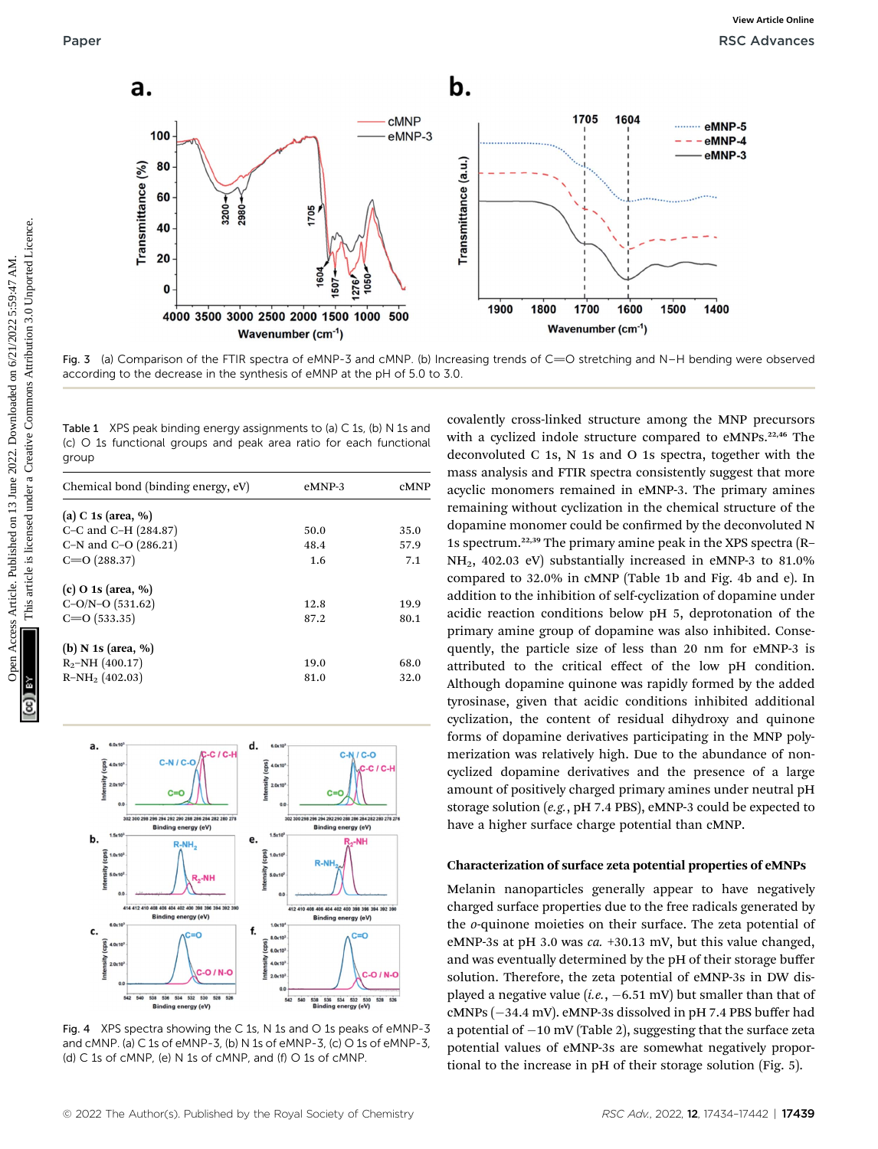

Fig. 3 (a) Comparison of the FTIR spectra of eMNP-3 and cMNP. (b) Increasing trends of  $C=O$  stretching and N–H bending were observed according to the decrease in the synthesis of eMNP at the pH of 5.0 to 3.0.

Table 1 XPS peak binding energy assignments to (a) C 1s, (b) N 1s and (c) O 1s functional groups and peak area ratio for each functional group

| Chemical bond (binding energy, eV) | eMNP-3 | cMNP |
|------------------------------------|--------|------|
| (a) C 1s (area, $\%$ )             |        |      |
| C–C and C–H $(284.87)$             | 50.0   | 35.0 |
| C-N and C-O $(286.21)$             | 48.4   | 57.9 |
| $C = O(288.37)$                    | 1.6    | 7.1  |
| $(c)$ O 1s (area, %)               |        |      |
| $C-O/N-O$ (531.62)                 | 12.8   | 19.9 |
| $C = O(533.35)$                    | 87.2   | 80.1 |
| (b) N 1s (area, $\%$ )             |        |      |
| $R_2$ -NH (400.17)                 | 19.0   | 68.0 |
| $R-NH_2$ (402.03)                  | 81.0   | 32.0 |
|                                    |        |      |



Fig. 4 XPS spectra showing the C 1s, N 1s and O 1s peaks of eMNP-3 and cMNP. (a) C 1s of eMNP-3, (b) N 1s of eMNP-3, (c) O 1s of eMNP-3, (d) C 1s of cMNP, (e) N 1s of cMNP, and (f) O 1s of cMNP.

covalently cross-linked structure among the MNP precursors with a cyclized indole structure compared to eMNPs.<sup>22,46</sup> The deconvoluted C 1s, N 1s and O 1s spectra, together with the mass analysis and FTIR spectra consistently suggest that more acyclic monomers remained in eMNP-3. The primary amines remaining without cyclization in the chemical structure of the dopamine monomer could be confirmed by the deconvoluted N 1s spectrum.22,39 The primary amine peak in the XPS spectra (R– NH2, 402.03 eV) substantially increased in eMNP-3 to 81.0% compared to 32.0% in cMNP (Table 1b and Fig. 4b and e). In addition to the inhibition of self-cyclization of dopamine under acidic reaction conditions below pH 5, deprotonation of the primary amine group of dopamine was also inhibited. Consequently, the particle size of less than 20 nm for eMNP-3 is attributed to the critical effect of the low pH condition. Although dopamine quinone was rapidly formed by the added tyrosinase, given that acidic conditions inhibited additional cyclization, the content of residual dihydroxy and quinone forms of dopamine derivatives participating in the MNP polymerization was relatively high. Due to the abundance of noncyclized dopamine derivatives and the presence of a large amount of positively charged primary amines under neutral pH storage solution (e.g., pH 7.4 PBS), eMNP-3 could be expected to have a higher surface charge potential than cMNP.

### Characterization of surface zeta potential properties of eMNPs

Melanin nanoparticles generally appear to have negatively charged surface properties due to the free radicals generated by the o-quinone moieties on their surface. The zeta potential of eMNP-3s at pH 3.0 was ca. +30.13 mV, but this value changed, and was eventually determined by the pH of their storage buffer solution. Therefore, the zeta potential of eMNP-3s in DW displayed a negative value (*i.e.*,  $-6.51$  mV) but smaller than that of  $cMNPs$  ( $-34.4$  mV).  $eMNP-3s$  dissolved in pH 7.4 PBS buffer had a potential of  $-10$  mV (Table 2), suggesting that the surface zeta potential values of eMNP-3s are somewhat negatively proportional to the increase in pH of their storage solution (Fig. 5).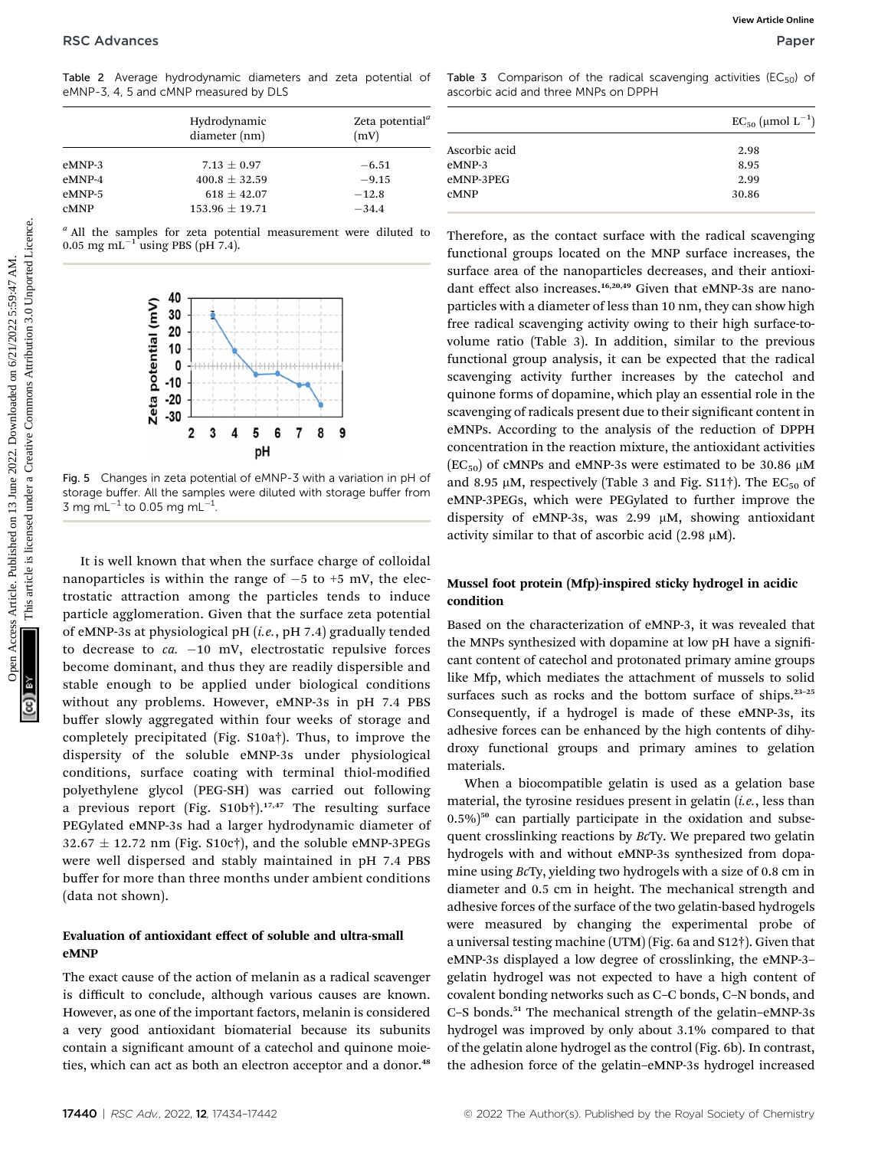|             | Hydrodynamic<br>diameter (nm) | Zeta potential <sup>"</sup><br>(mV) |
|-------------|-------------------------------|-------------------------------------|
| eMNP-3      | $7.13 + 0.97$                 | $-6.51$                             |
| eMNP-4      | $400.8 + 32.59$               | $-9.15$                             |
| eMNP-5      | $618 + 42.07$                 | $-12.8$                             |
| <b>CMNP</b> | $153.96 + 19.71$              | $-34.4$                             |

<sup>a</sup> All the samples for zeta potential measurement were diluted to 0.05 mg mL $^{-1}$  using PBS (pH 7.4).



Fig. 5 Changes in zeta potential of eMNP-3 with a variation in pH of storage buffer. All the samples were diluted with storage buffer from 3 mg mL $^{-1}$  to 0.05 mg mL $^{-1}$ .

It is well known that when the surface charge of colloidal nanoparticles is within the range of  $-5$  to  $+5$  mV, the electrostatic attraction among the particles tends to induce particle agglomeration. Given that the surface zeta potential of eMNP-3s at physiological pH (i.e., pH 7.4) gradually tended to decrease to  $ca. -10$  mV, electrostatic repulsive forces become dominant, and thus they are readily dispersible and stable enough to be applied under biological conditions without any problems. However, eMNP-3s in pH 7.4 PBS buffer slowly aggregated within four weeks of storage and completely precipitated (Fig. S10a†). Thus, to improve the dispersity of the soluble eMNP-3s under physiological conditions, surface coating with terminal thiol-modified polyethylene glycol (PEG-SH) was carried out following a previous report (Fig.  $S10b\dagger$ ).<sup>17,47</sup> The resulting surface PEGylated eMNP-3s had a larger hydrodynamic diameter of  $32.67 \pm 12.72$  nm (Fig. S10c†), and the soluble eMNP-3PEGs were well dispersed and stably maintained in pH 7.4 PBS buffer for more than three months under ambient conditions (data not shown).

### Evaluation of antioxidant effect of soluble and ultra-small eMNP

The exact cause of the action of melanin as a radical scavenger is difficult to conclude, although various causes are known. However, as one of the important factors, melanin is considered a very good antioxidant biomaterial because its subunits contain a significant amount of a catechol and quinone moieties, which can act as both an electron acceptor and a donor.<sup>48</sup>

Table 3 Comparison of the radical scavenging activities ( $EC_{50}$ ) of ascorbic acid and three MNPs on DPPH

|               | $EC_{50}$ (µmol $L^{-1}$ ) |
|---------------|----------------------------|
| Ascorbic acid | 2.98                       |
| eMNP-3        | 8.95                       |
| eMNP-3PEG     | 2.99                       |
| <b>CMNP</b>   | 30.86                      |
|               |                            |

Therefore, as the contact surface with the radical scavenging functional groups located on the MNP surface increases, the surface area of the nanoparticles decreases, and their antioxidant effect also increases.<sup>16,20,49</sup> Given that eMNP-3s are nanoparticles with a diameter of less than 10 nm, they can show high free radical scavenging activity owing to their high surface-tovolume ratio (Table 3). In addition, similar to the previous functional group analysis, it can be expected that the radical scavenging activity further increases by the catechol and quinone forms of dopamine, which play an essential role in the scavenging of radicals present due to their significant content in eMNPs. According to the analysis of the reduction of DPPH concentration in the reaction mixture, the antioxidant activities  $(EC_{50})$  of cMNPs and eMNP-3s were estimated to be 30.86  $\mu$ M and 8.95  $\mu$ M, respectively (Table 3 and Fig. S11†). The EC<sub>50</sub> of eMNP-3PEGs, which were PEGylated to further improve the dispersity of eMNP-3s, was  $2.99 \mu M$ , showing antioxidant activity similar to that of ascorbic acid (2.98  $\mu$ M). **PSC Advances**<br>
Take 2 Awares Articles. Published on 13 June 2022. Determined by the state of the state of the state of the state of the state of the state of the state of the state of the state of the state of the state

### Mussel foot protein (Mfp)-inspired sticky hydrogel in acidic condition

Based on the characterization of eMNP-3, it was revealed that the MNPs synthesized with dopamine at low pH have a significant content of catechol and protonated primary amine groups like Mfp, which mediates the attachment of mussels to solid surfaces such as rocks and the bottom surface of ships.<sup>23-25</sup> Consequently, if a hydrogel is made of these eMNP-3s, its adhesive forces can be enhanced by the high contents of dihydroxy functional groups and primary amines to gelation materials.

When a biocompatible gelatin is used as a gelation base material, the tyrosine residues present in gelatin  $(i.e.,$  less than  $(0.5\%)$ <sup>50</sup> can partially participate in the oxidation and subsequent crosslinking reactions by BcTy. We prepared two gelatin hydrogels with and without eMNP-3s synthesized from dopamine using BcTy, yielding two hydrogels with a size of 0.8 cm in diameter and 0.5 cm in height. The mechanical strength and adhesive forces of the surface of the two gelatin-based hydrogels were measured by changing the experimental probe of a universal testing machine (UTM) (Fig. 6a and S12†). Given that eMNP-3s displayed a low degree of crosslinking, the eMNP-3– gelatin hydrogel was not expected to have a high content of covalent bonding networks such as C–C bonds, C–N bonds, and C–S bonds.<sup>51</sup> The mechanical strength of the gelatin–eMNP-3s hydrogel was improved by only about 3.1% compared to that of the gelatin alone hydrogel as the control (Fig. 6b). In contrast, the adhesion force of the gelatin–eMNP-3s hydrogel increased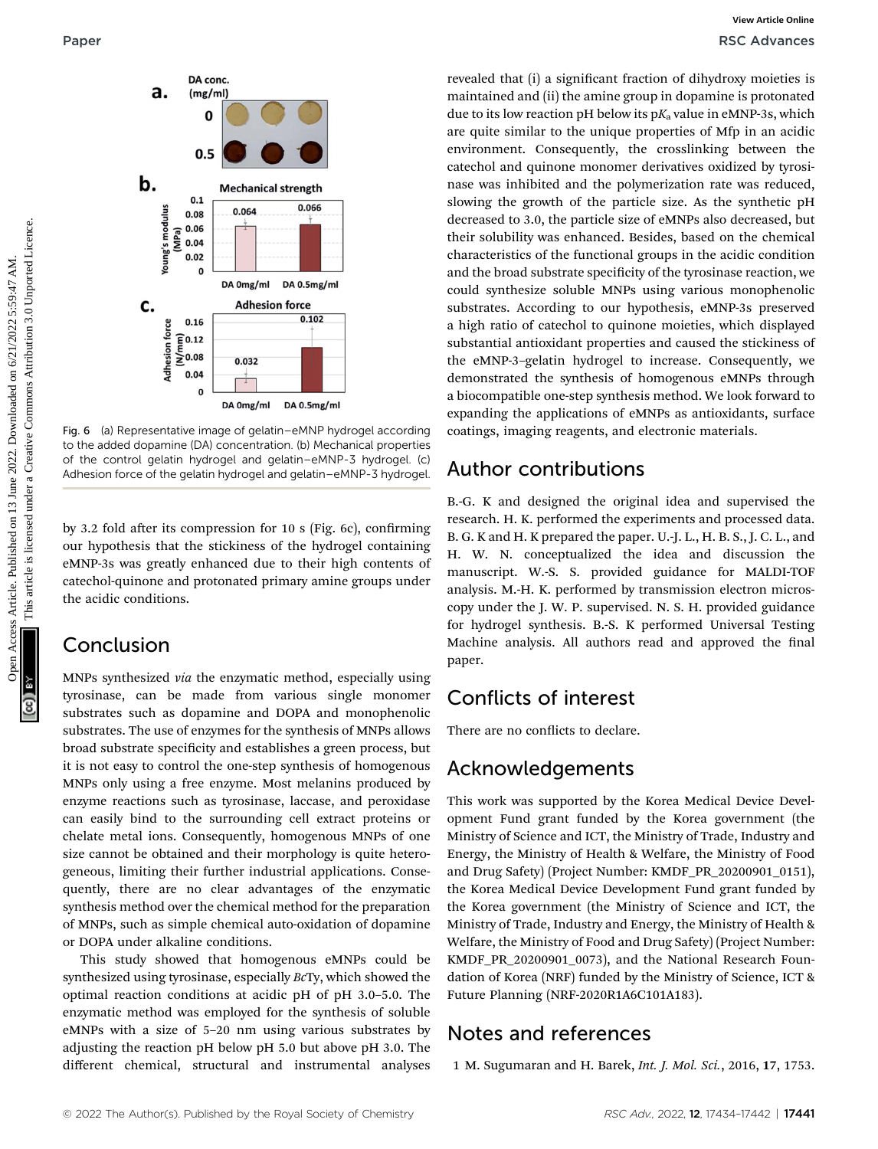

Fig. 6 (a) Representative image of gelatin–eMNP hydrogel according to the added dopamine (DA) concentration. (b) Mechanical properties of the control gelatin hydrogel and gelatin–eMNP-3 hydrogel. (c) Adhesion force of the gelatin hydrogel and gelatin–eMNP-3 hydrogel.

by 3.2 fold after its compression for 10 s (Fig. 6c), confirming our hypothesis that the stickiness of the hydrogel containing eMNP-3s was greatly enhanced due to their high contents of catechol-quinone and protonated primary amine groups under the acidic conditions.

## Conclusion

MNPs synthesized via the enzymatic method, especially using tyrosinase, can be made from various single monomer substrates such as dopamine and DOPA and monophenolic substrates. The use of enzymes for the synthesis of MNPs allows broad substrate specificity and establishes a green process, but it is not easy to control the one-step synthesis of homogenous MNPs only using a free enzyme. Most melanins produced by enzyme reactions such as tyrosinase, laccase, and peroxidase can easily bind to the surrounding cell extract proteins or chelate metal ions. Consequently, homogenous MNPs of one size cannot be obtained and their morphology is quite heterogeneous, limiting their further industrial applications. Consequently, there are no clear advantages of the enzymatic synthesis method over the chemical method for the preparation of MNPs, such as simple chemical auto-oxidation of dopamine or DOPA under alkaline conditions.

This study showed that homogenous eMNPs could be synthesized using tyrosinase, especially BcTy, which showed the optimal reaction conditions at acidic pH of pH 3.0–5.0. The enzymatic method was employed for the synthesis of soluble eMNPs with a size of 5–20 nm using various substrates by adjusting the reaction pH below pH 5.0 but above pH 3.0. The different chemical, structural and instrumental analyses

revealed that (i) a significant fraction of dihydroxy moieties is maintained and (ii) the amine group in dopamine is protonated due to its low reaction pH below its  $pK_a$  value in eMNP-3s, which are quite similar to the unique properties of Mfp in an acidic environment. Consequently, the crosslinking between the catechol and quinone monomer derivatives oxidized by tyrosinase was inhibited and the polymerization rate was reduced, slowing the growth of the particle size. As the synthetic pH decreased to 3.0, the particle size of eMNPs also decreased, but their solubility was enhanced. Besides, based on the chemical characteristics of the functional groups in the acidic condition and the broad substrate specificity of the tyrosinase reaction, we could synthesize soluble MNPs using various monophenolic substrates. According to our hypothesis, eMNP-3s preserved a high ratio of catechol to quinone moieties, which displayed substantial antioxidant properties and caused the stickiness of the eMNP-3–gelatin hydrogel to increase. Consequently, we demonstrated the synthesis of homogenous eMNPs through a biocompatible one-step synthesis method. We look forward to expanding the applications of eMNPs as antioxidants, surface coatings, imaging reagents, and electronic materials. Paper Water Commons and the Commons and (i) a significant fraction of diplotay maries is a common of the common group in dependent or produced by the common and the common common common common in the common common common

# Author contributions

B.-G. K and designed the original idea and supervised the research. H. K. performed the experiments and processed data. B. G. K and H. K prepared the paper. U.-J. L., H. B. S., J. C. L., and H. W. N. conceptualized the idea and discussion the manuscript. W.-S. S. provided guidance for MALDI-TOF analysis. M.-H. K. performed by transmission electron microscopy under the J. W. P. supervised. N. S. H. provided guidance for hydrogel synthesis. B.-S. K performed Universal Testing Machine analysis. All authors read and approved the final paper.

# Conflicts of interest

There are no conflicts to declare.

# Acknowledgements

This work was supported by the Korea Medical Device Development Fund grant funded by the Korea government (the Ministry of Science and ICT, the Ministry of Trade, Industry and Energy, the Ministry of Health & Welfare, the Ministry of Food and Drug Safety) (Project Number: KMDF\_PR\_20200901\_0151), the Korea Medical Device Development Fund grant funded by the Korea government (the Ministry of Science and ICT, the Ministry of Trade, Industry and Energy, the Ministry of Health & Welfare, the Ministry of Food and Drug Safety) (Project Number: KMDF\_PR\_20200901\_0073), and the National Research Foundation of Korea (NRF) funded by the Ministry of Science, ICT & Future Planning (NRF-2020R1A6C101A183).

# Notes and references

1 M. Sugumaran and H. Barek, Int. J. Mol. Sci., 2016, 17, 1753.